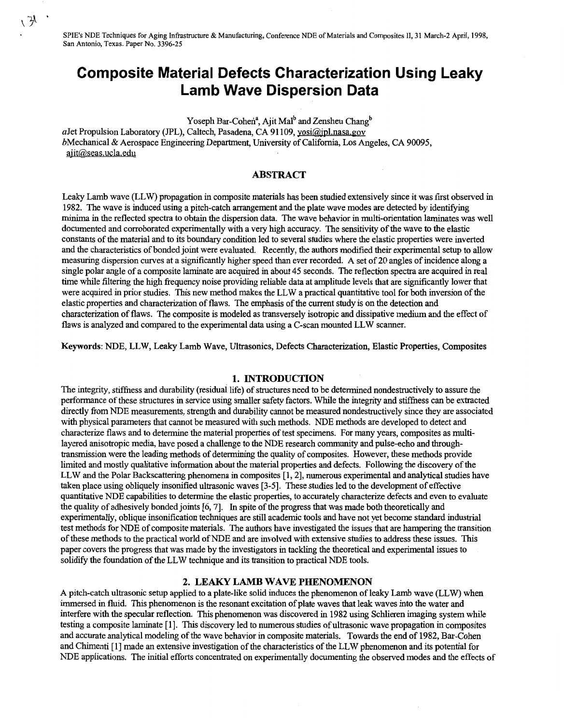**SPIE's** NDE Techniques for Aging Infrastructure & Manufacturing, Conference NDE of Materials **and** Composites **II,3 1** March-2 April, 1998, San Antonio, Texas. Paper No. 3396-25

# **Composite Material Defects Characterization Using Leaky Lamb Wave Dispersion Data**

Yoseph Bar-Cohen<sup>a</sup>, Ajit Mal<sup>b</sup> and Zensheu Chang<sup>b</sup>

aJet Propulsion Laboratory (JPL), Caltech, Pasadena, CA 91109, yosi@jpl.nasa.gov bMechanical & Aerospace Engineering Department, University of California, Los Angeles, CA 90095, ajit@seas.ucla.edu

# **ABSTRACT**

Leaky Lamb wave (LLW) propagation in composite materials **has** been stuhed extensively since it was first observed in 1982. The wave is induced using a pitch-catch arrangement and the plate wave modes are detected by identifying minima in the reflected spectra to obtain the dispersion data. The wave behavior in multi-orientation laminates was well documented and corroborated experimentally with a very high accuracy. The sensitivity of the wave to the elastic constants of the material and to its boundary condition led to several studies where the elastic properties were inverted and the characteristics of bonded joint were evaluated. Recently, the authors modified their experimental setup to allow measuring dispersion curves at a significantly hgher speed than ever recorded. A set of 20 angles of incidence along a single polar angle of a composite laminate are acquired in about 45 seconds. The reflection spectra are acquired in real time while filtering the high frequency noise providing reliable data at amplitude levels that are significantly lower that were acquired in prior studies. This new method makes the LLW a practical quantitative tool for both inversion of the elastic properties and characterization of flaws. The emphasis of the current study is on the detection and characterization of flaws. The composite is modeled as transversely isotropic and dissipative medium and the effect of flaws is analyzed and compared to the experimental data using a C-scan mounted LLW scanner.

**Keywords:** NDE, LLW, Leaky Lamb Wave, Ultrasonics, Defects Characterization, Elastic Properties, Composites

# **1. INTRODUCTION**

The integrity, stiffness and durability (residual life) of structures need to be determined nondestructively to assure the performance of these structures in service using smaller safety factors. While the integrity and stiffness can be extracted directly from NDE measurements, strength and durability cannot be measured nondestructively since they are associated with physical parameters that cannot be measured with such methods. NDE methods are developed to detect and characterize flaws and to determine the material properties of test specimens. For many years, composites as multilayered anisotropic media, have posed a challenge to the NDE research community and pulse-echo and throughtransmission were the leading methods of determining the quality of composites. However, these methods provide limited and mostly qualitative information about the material properties and defects. Following the discovery of the LLW and the Polar Backscattering phenomena in composites [1, 2], numerous experimental and analytical studies have taken place using obliquely insonified ultrasonic waves [3-51. These studies led to the development **of** effective quantitative NDE capabilities to determine the elastic properties, to accurately characterize defects and even to evaluate the quality of adhesively bonded joints **[6,7].** In spite of the progress that was made both theoretically and experimentally, oblique insonification techniques are still academic tools and have not yet become standard industrial test methods for NDE of composite materials. The authors have investigated the issues that are hampering the transition of these methods to the practical world of NDE and are involved with extensive studies to address these issues. This paper covers the progress that was made by the investigators in tackling the theoretical and experimental issues to solidfy the foundation of the LLW technique and its transition to practical NDE tools.

#### **2. LEAKY LAMB WAVE PHENOMENON**

**A** pitch-catch ultrasonic setup applied to a plate-like solid induces the phenomenon of leaky Lamb wave (LLW) when immersed in fluid. This phenomenon is the resonant excitation of plate waves that leak waves into the water and interfere with the specular reflection. This phenomenon was discovered in 1982 using Schlieren imaging system while testing a composite laminate [ 11. This discovery led to numerous studies of ultrasonic wave propagation in composites and accurate analytical modeling of the wave behavior in composite materials. Towards the end of 1982, Bar-Cohen and Chimenti [ 11 made an extensive investigation of the characteristics of the LLW phenomenon and its potential for NDE applications. The initial efforts concentrated on experimentally documenting the observed modes and the effects of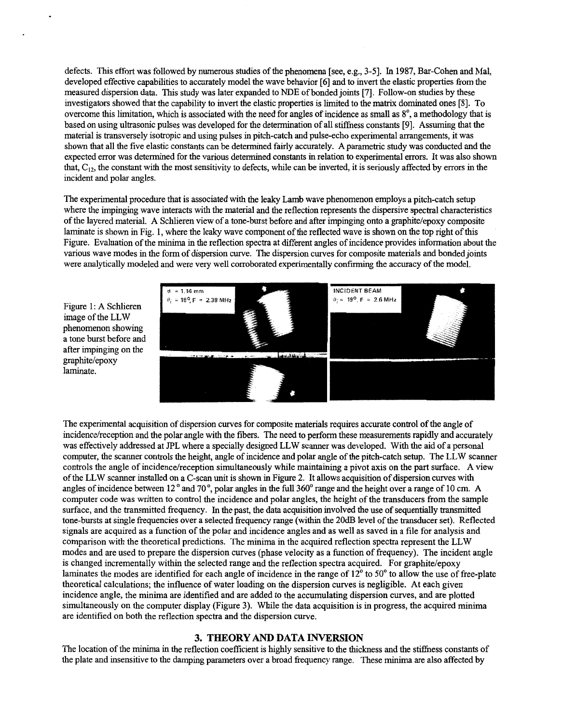defects. This effort was followed by numerous studies of the phenomena [see, e.g., **3-51.** In 1987, Bar-Cohen and Mal, developed effective capabilities to accurately model the wave behavior *[6]* and to invert the elastic properties from the measured dispersion data. This study was later expanded to NDE of bonded joints [7]. Follow-on studies by these investigators showed that the capability to invert the elastic properties is limited to the matrix dominated ones [8]. To overcome this limitation, which is associated with the need for angles of incidence as small as **8",** a methodology that is based on using ultrasonic pulses was developed for the determination of all stiffness constants **[9].** Assuming that the material is transversely isotropic and using pulses in pitch-catch and pulse-echo experimental arrangements, it was shown that all the five elastic constants can be determined fairly accurately. A parametric study was conducted and the expected error was determined for the various determined constants in relation to experimental errors. It was also shown that,  $C_{12}$ , the constant with the most sensitivity to defects, while can be inverted, it is seriously affected by errors in the incident and polar angles.

The experimental procedure that is associated with the leaky Lamb wave phenomenon employs a pitch-catch setup where the impinging wave interacts with the material and the reflection represents the dispersive spectral characteristics of the layered material. A Schlieren view of a tone-burst before and after impinging onto a graphite/epoxy composite laminate is shown in Fig. 1, where the leaky wave component of the reflected wave is shown on the top right of this Figure. Evaluation of the minima in the reflection spectra at different angles of incidence provides information about the various wave modes in the form of dispersion curve. The dispersion curves for composite materials and bonded joints were analytically modeled and were very well corroborated experimentally confirming the accuracy of the model.

Figure 1: A Schlieren image of the LLW phenomenon showing a tone burst before and after impinging on the graphite/epoxy laminate.



The experimental acquisition of dispersion curves for composite materials requires accurate control of the angle of incidence/reception and the polar angle with the fibers. The need to perform these measurements rapidly and accurately was effectively addressed at JPL where a specially designed LLW scanner was developed. With the aid of a personal computer, the scanner controls the height, angle of incidence and polar angle of the pitch-catch setup. The LLW scanner controls the angle of incidence/reception simultaneously while maintaining a pivot axis on the part surface. A view of the LLW scanner installed on a C-scan unit is shown in Figure 2. Itallows acquisition of dispersion curves with angles of incidence between 12<sup>°</sup> and 70<sup>°</sup>, polar angles in the full 360<sup>°</sup> range and the height over a range of 10 cm. A computer code was written to control the incidence and polar angles, the height of the transducers from the sample surface, and the transmitted frequency. In the past, the data acquisition involved the use of sequentially transmitted tone-bursts at single frequencies over a selected frequency range (within the 20dB level of the transducer set). Reflected signals are acquired as a function of the polar and incidence angles and as well as saved in a file for analysis and comparison with the theoretical predictions. The minima in the acquired reflection spectra represent the LLW modes and are used to prepare the dispersion curves (phase velocity as a function of frequency). The incident angle is changed incrementally within the selected range and the reflection spectra acquired. For graphite/epoxy laminates the modes are identified for each angle of incidence in the range of  $12^{\circ}$  to  $50^{\circ}$  to allow the use of free-plate theoretical calculations; the influence of water loading on the dispersion curves is negligible. At each given incidence angle, the minima are identified and are added to the accumulating dispersion curves, and are plotted simultaneously on the computer display (Figure **3).** While the data acquisition is in progress, the acquired minima are identified on both the reflection spectra and the dispersion curve.

# **3. THEORY** AND **DATA INVERSION**

The location of the minima in the reflection coefficient is highly sensitive to the thickness and the stiffness constants of the plate and insensitive to the damping parameters over a broad frequency range. These minima are also affected by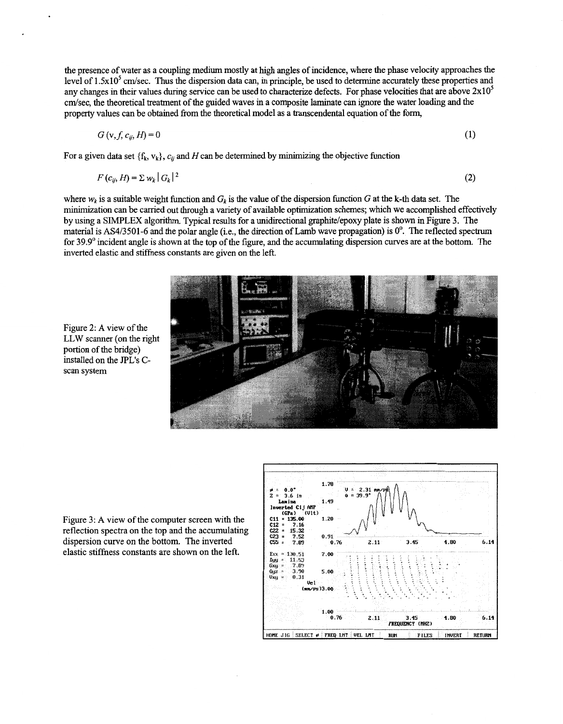the presence of water as a coupling medium mostly at high angles of incidence, where the phase velocity approaches the level of  $1.5x10<sup>5</sup>$  cm/sec. Thus the dispersion data can, in principle, be used to determine accurately these properties and any changes in their values during service can be used to characterize defects. For phase velocities that are above  $2x10^5$ cm/sec, the theoretical treatment of the guided waves in a composite laminate can ignore the water loading and the property values can be obtained from the theoretical model as a transcendental equation of the form,

$$
G\left(\mathbf{v},f,c_{ij},H\right)=0\tag{1}
$$

For a given data set  ${f_k, v_k}$ ,  $c_{ij}$  and *H* can be determined by minimizing the objective function

$$
F(c_{ij}, H) = \sum w_k |G_k|^2 \tag{2}
$$

where  $w_k$  is a suitable weight function and  $G_k$  is the value of the dispersion function  $G$  at the k-th data set. The minimization can be carried out through a variety of available optimization schemes; whch we accomplished effectively by using a SIMPLEX algorithm. Typical results for a unidirectional graphite/epoxy plate is shown in Figure 3. The material is AS4/3501-6 and the polar angle (i.e., the direction of Lamb wave propagation) is *0".* The reflected spectrum for 39.9' incident angle is shown at the top of the figure, and the accumulating dispersion curves are at the bottom. The inverted elastic and stiffness constants are given on the left.



Figure **2:** A view of the LLW scanner (on the right portion of the bridge) installed on the JPL's Cscan system

Figure 3: A view of the computer screen with the reflection spectra on the top and the accumulating dispersion curve on the bottom. The inverted elastic stiffness constants are shown on the left.

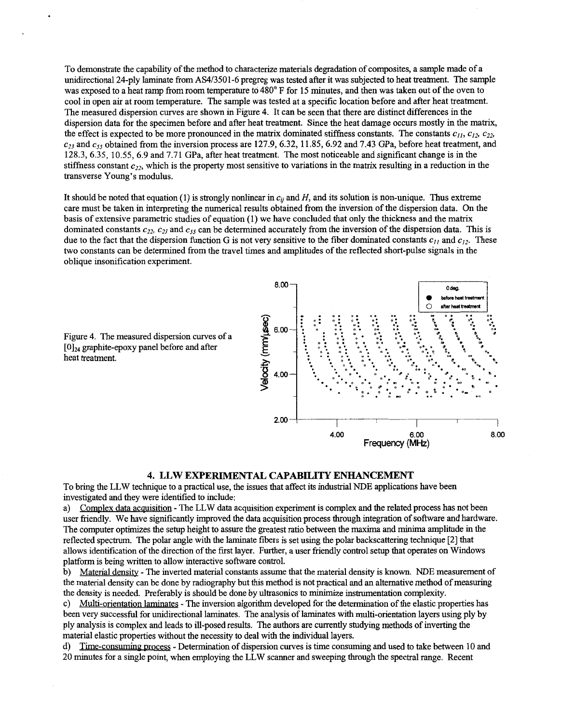To demonstrate the capability of the method to characterize materials degradation of composites, a sample made of a unidirectional 24-ply laminate fiom AS4/3501-6 pregreg was tested after it was subjected to heat treatment. The sample was exposed to a heat ramp from room temperature to 480° F for 15 minutes, and then was taken out of the oven to cool in open air at room temperature. The sample was tested at a specific location before and after heat treatment. The measured dispersion curves are shown in Figure 4. It can be seen that there are distinct differences in the dispersion data for the specimen before and after heat treatment. Since the heat damage occurs mostly in the matrix, the effect is expected to be more pronounced in the matrix dominated stiffness constants. The constants  $c_{11}, c_{12}, c_{22}$ **~23** and **cj5** obtained from the inversion process are 127.9, 6.32, 11 35, 6.92 and 7.43 GPa, before heat treatment, and 128.3, 6.35, 10.55, 6.9 and 7.71 GPa, after heat treatment. The most noticeable and significant change is in the stiffness constant  $c_{22}$ , which is the property most sensitive to variations in the matrix resulting in a reduction in the transverse Young's modulus.

It should be noted that equation (1) is strongly nonlinear in  $c_{ij}$  and  $H$ , and its solution is non-unique. Thus extreme care must be taken in interpreting the numerical results obtained from the inversion of the dispersion data. On the basis of extensive parametric studies of equation (1) we have concluded that only the thickness and the matrix dominated constants  $c_{22}$ ,  $c_{23}$  and  $c_{55}$  can be determined accurately from the inversion of the dispersion data. This is due to the fact that the dispersion function *G* is not very sensitive to the fiber dominated constants  $c_{11}$  and  $c_{12}$ . These two constants can be determined fiom the travel times and amplitudes of the reflected short-pulse signals in the oblique insonification experiment.



**4. LLW EXPERIMENTAL CAPABILITY ENHANCEMENT**  To bring the LLW technique to a practical use, the issues that affect its industrial NDE applications have been investigated and they were identified to include:

a) Complex data acquisition - The LLW data acquisition experiment is complex and the related process has not been user friendly. We have significantly improved the data acquisition process through integration of software and hardware. The computer optimizes the setup height to assure the greatest ratio between the maxima and **minima** amplitude in the reflected spectrum. The polar angle with the laminate fibers is set using the polar backscattering technique [2] that allows identification of the direction of the first layer. Further, a user friendly control setup that operates on Windows platform is being written to allow interactive software control.

b) Material density - The inverted material constants assume that the material density is known. NDE measurement of the material density can be done by radiography but this method is not practical and an alternative method of measuring the density is needed. Preferably is should be done by ultrasonics to minimize instrumentation complexity.

c) Multi-orientation laminates - The inversion algorithm developed for the determination of the elastic properties has been very successful for unidirectional laminates. The analysis of laminates with multi-orientation layers using ply by ply analysis is complex and leads to ill-posed results. The authors are currently studying methods of inverting the material elastic properties without the necessity to deal with the individual layers.

d) Time-consuming mocess - Determination of dispersion curves is time consuming and used to take between 10 and 20 minutes for a single point, when employing the LLW scanner and sweeping through the spectral range. Recent

Figure 4. The measured dispersion curves of **a [0]24** graphte-epoxy panel before and after heat treatment.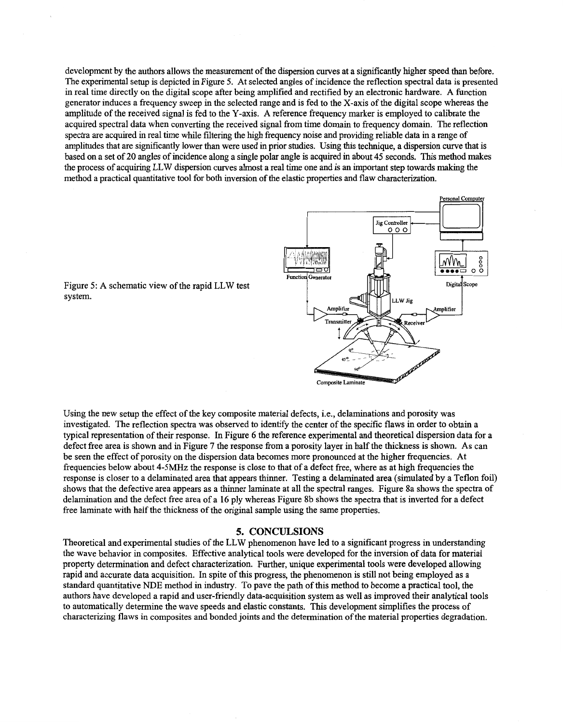development by the authors allows the measurement of the dispersion curves at a significantly higher speed than before. The experimental setup is depicted in Figure 5. At selected angles of incidence the reflection spectral data is presented in real time directly on the digital scope after being amplified and rectified by an electronic hardware. A function generator induces a frequency sweep in the selected range and is fed to the X-axis of the digital scope whereas the amplitude of the received signal is fed to the Y-axis. A reference frequency marker is employed to calibrate the acquired spectral data when converting the received signal from time domain to frequency domain. The reflection spectra are acquired in real time while filtering the high frequency noise and providing reliable data in a range of amplitudes that are significantly lower than were used in prior studies. Using this technique, a dispersion curve that is based on a set of 20 angles of incidence along a single polar angle is acquired in about **45** seconds. This method makes the process of acquiring LLW dispersion curves almost a real time one and is an important step towards **making** the method a practical quantitative tool for both inversion of the elastic properties and flaw characterization.



Figure 5: A schematic view of the rapid LLW test system.

Using the new setup the effect of the key composite material defects, i.e., delaminations and porosity was investigated. The reflection spectra was observed to identify the center of the specific flaws in order to obtain a typical representation of their response. In Figure *6* the reference experimental and theoretical dispersion data for a defect free area is shown and in Figure 7 the response from a porosity layer in half the thickness is shown. As can be seen the effect of porosity on the dispersion data becomes more pronounced at the higher frequencies. At frequencies below about **4-5MHz** the response is close to that of a defect free, where as at high frequencies the response is closer to a delaminated area that appears thinner. Testing a delaminated area (simulated by a Teflon foil) shows that the defective area appears as a thinner laminate at all the spectral ranges. Figure 8a shows the spectra of delamination and the defect free area of a **16** ply whereas Figure 8b shows the spectra that is inverted for a defect free laminate with half the thickness of the original sample using the same properties.

### **5. CONCULSIONS**

Theoretical and experimental studies of the LLW phenomenon have led to a significant progress in understanding the wave behavior in composites. Effective analytical tools were developed for the inversion of data for material property determination and defect characterization. Further, unique experimental tools were developed allowing rapid and accurate data acquisition. In spite of this progress, the phenomenon is still not being employed as a standard quantitative NDE method in industry. To pave the path of this method to become a practical tool, the authors have developed a rapid and user-friendly data-acquisition system as well as improved their analytical tools to automatically determine the wave speeds and elastic constants. This development simplifies the process of characterizing flaws in composites and bonded joints and the determination of the material properties degradation.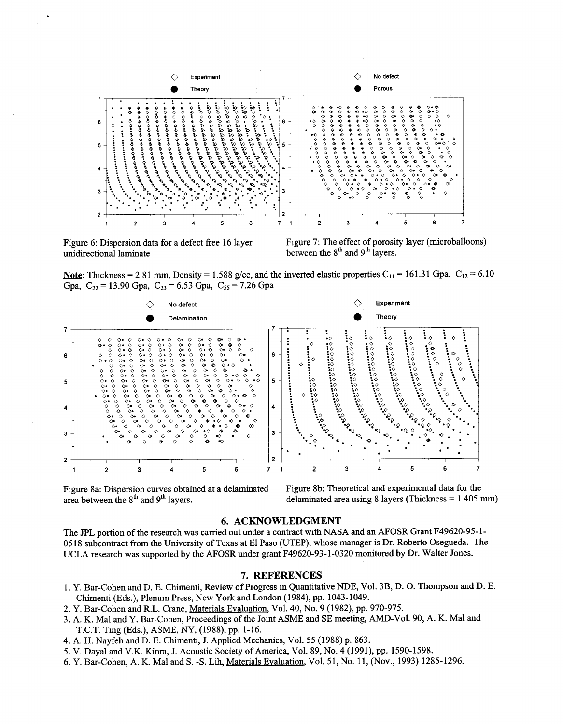

unidirectional laminate between the  $8<sup>th</sup>$  and  $9<sup>th</sup>$  layers.

Figure 6: Dispersion data for a defect free 16 layer Figure 7: The effect of porosity layer (microballoons)

Note: Thickness = 2.81 mm, Density = 1.588 g/cc, and the inverted elastic properties  $C_{11}$  = 161.31 Gpa,  $C_{12}$  = 6.10 Gpa,  $C_{22} = 13.90$  Gpa,  $C_{23} = 6.53$  Gpa,  $C_{55} = 7.26$  Gpa



Figure 8a: Dispersion curves obtained at a delaminated Figure 8b: Theoretical and experimental data for the deaminated area between the  $8<sup>th</sup>$  and  $9<sup>th</sup>$  layers.<br>delaminated area using 8 layers (Thickness = 1.405

delaminated area using 8 layers (Thickness = 1.405 mm)

## **6. ACKNOWLEDGMENT**

The JPL portion of the research was carried out under a contract with NASA and an AFOSR Grant **F49620-95-1-**  *05* **18** subcontract from the University of Texas at El Paso (UTEP), whose manager is Dr. Roberto Osegueda. The UCLA research was supported by the AFOSR under grant **F49620-93-1-0320** monitored **by** Dr. Walter Jones.

#### **7. REFERENCES**

- **1.** Y. Bar-Cohen and D. E. Chimenti, Review of Progress in Quantitative NDE, Vol. 3B, D. 0. Thompson and D. E. Chimenti (Eds.), Plenum Press, New **York** and London **(1984),** pp. **1043-1049.**
- **2.** Y. Bar-Cohen and R.L. Crane, Materials Evaluation, Vol. **40,** No. **9 (1982),** pp. **970-975.**
- 3. A. K. Mal and Y. Bar-Cohen, Proceedings of the Joint ASME and SE meeting, AMD-Vol. 90, A. K. Mal and T.C.T. Ting (Eds.), ASME, *NY,* **(1988),** pp. **1-16.**
- **4.** A. H. Nayfeh and D. E. Chimenti, J. Applied Mechanics, Vol. **55 (1988)** p. **863.**
- **5.** V. Dayal and V.K. Kinra, J. Acoustic Society **of** America, Vol. **89,** No. **4 (1991),** pp. **1590-1598.**
- **6.** Y. Bar-Cohen, A. K. Mal and S. **-S.** Lh, Materials Evaluation, Vol. **51,** No. **11,** (Nov., **1993) 1285-1296.**